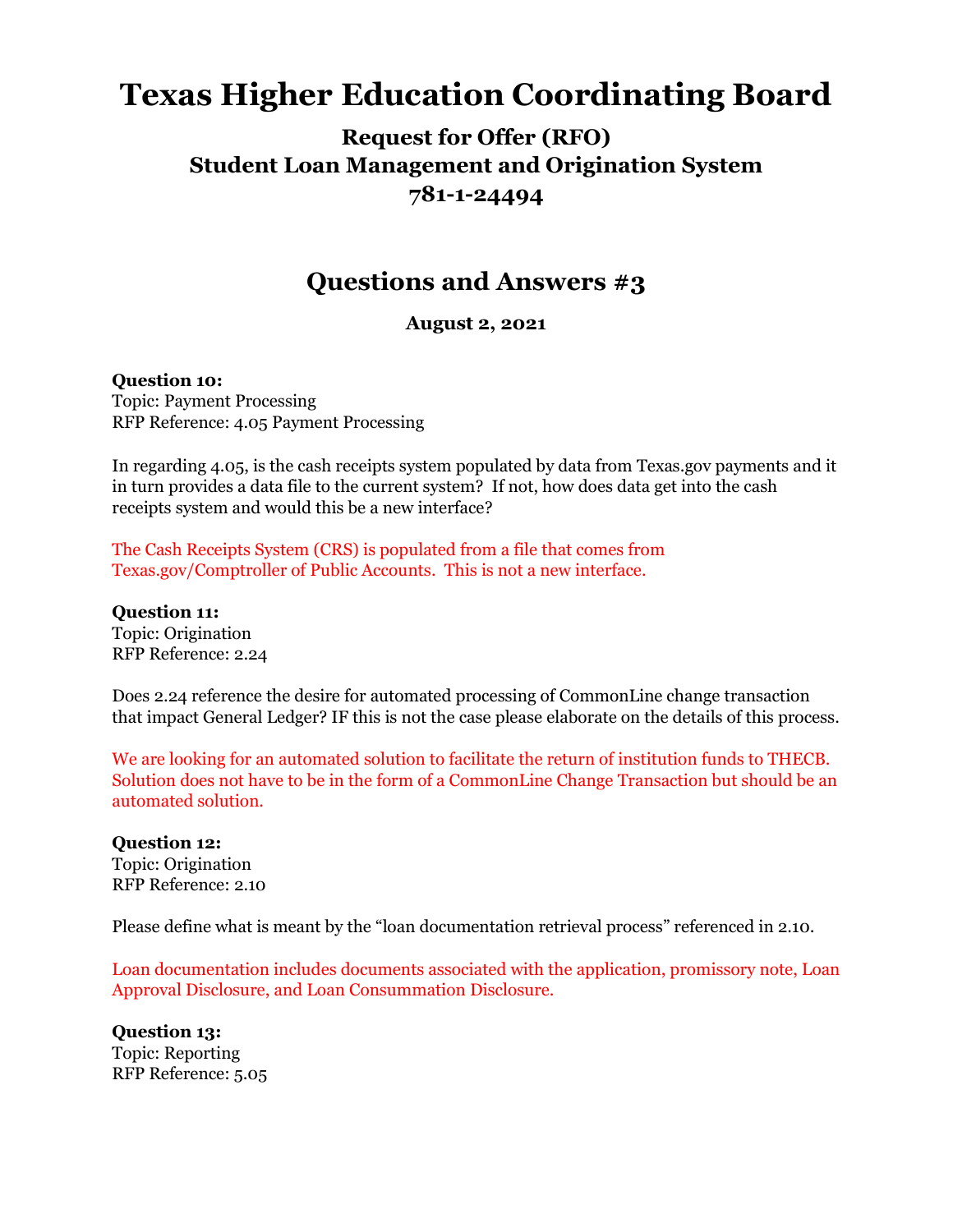# **Texas Higher Education Coordinating Board**

## **Request for Offer (RFO) Student Loan Management and Origination System 781-1-24494**

## **Questions and Answers #3**

**August 2, 2021**

#### **Question 10:**

Topic: Payment Processing RFP Reference: 4.05 Payment Processing

In regarding 4.05, is the cash receipts system populated by data from [Texas.gov](https://urldefense.proofpoint.com/v2/url?u=http-3A__Texas.gov&d=DwMGaQ&c=RMnmm6VPZn6InKz70COhA6ljkuRx8qD28wOQIYh-aEY&r=Byrjj5JGFE2EEeFX_UG_GMvs4IOhfgdbHivshWnLrhE&m=byfM2xWGkQ4wb5ZPU1QarxiSUVH3yr4Uj1VZSJAzf5U&s=tMAEEk-rTGSKyal2SzROlBgcFEdCs54s8M_4CoyIEEA&e=) payments and it in turn provides a data file to the current system? If not, how does data get into the cash receipts system and would this be a new interface?

The Cash Receipts System (CRS) is populated from a file that comes from Texas.gov/Comptroller of Public Accounts. This is not a new interface.

**Question 11:** Topic: Origination RFP Reference: 2.24

Does 2.24 reference the desire for automated processing of CommonLine change transaction that impact General Ledger? IF this is not the case please elaborate on the details of this process.

We are looking for an automated solution to facilitate the return of institution funds to THECB. Solution does not have to be in the form of a CommonLine Change Transaction but should be an automated solution.

**Question 12:** Topic: Origination RFP Reference: 2.10

Please define what is meant by the "loan documentation retrieval process" referenced in 2.10.

Loan documentation includes documents associated with the application, promissory note, Loan Approval Disclosure, and Loan Consummation Disclosure.

**Question 13:** Topic: Reporting RFP Reference: 5.05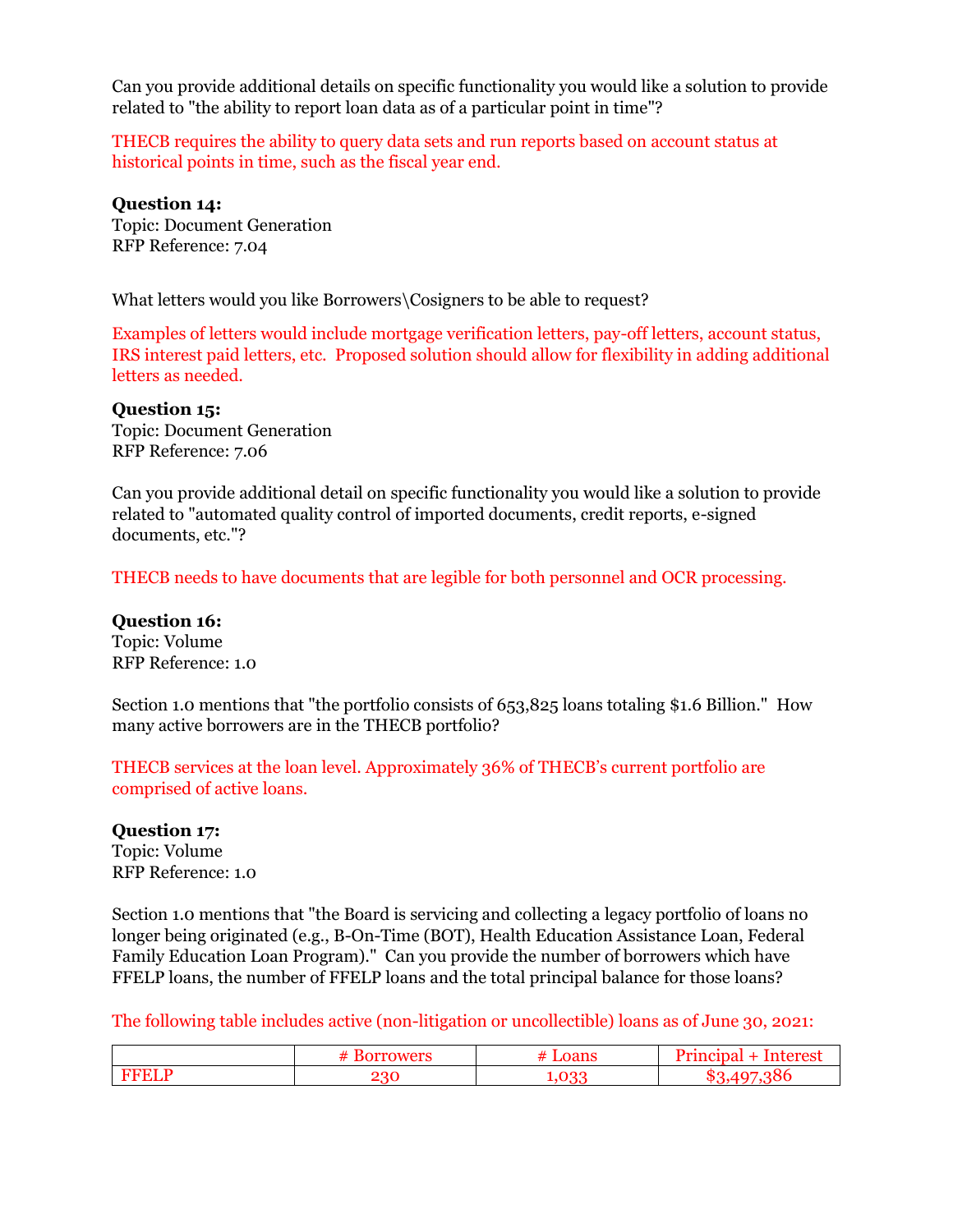Can you provide additional details on specific functionality you would like a solution to provide related to "the ability to report loan data as of a particular point in time"?

THECB requires the ability to query data sets and run reports based on account status at historical points in time, such as the fiscal year end.

**Question 14:** Topic: Document Generation RFP Reference: 7.04

What letters would you like Borrowers\Cosigners to be able to request?

Examples of letters would include mortgage verification letters, pay-off letters, account status, IRS interest paid letters, etc. Proposed solution should allow for flexibility in adding additional letters as needed.

**Question 15:** Topic: Document Generation RFP Reference: 7.06

Can you provide additional detail on specific functionality you would like a solution to provide related to "automated quality control of imported documents, credit reports, e-signed documents, etc."?

THECB needs to have documents that are legible for both personnel and OCR processing.

**Question 16:** Topic: Volume RFP Reference: 1.0

Section 1.0 mentions that "the portfolio consists of 653,825 loans totaling \$1.6 Billion." How many active borrowers are in the THECB portfolio?

THECB services at the loan level. Approximately 36% of THECB's current portfolio are comprised of active loans.

#### **Question 17:**

Topic: Volume RFP Reference: 1.0

Section 1.0 mentions that "the Board is servicing and collecting a legacy portfolio of loans no longer being originated (e.g., B-On-Time (BOT), Health Education Assistance Loan, Federal Family Education Loan Program)." Can you provide the number of borrowers which have FFELP loans, the number of FFELP loans and the total principal balance for those loans?

The following table includes active (non-litigation or uncollectible) loans as of June 30, 2021:

|     | <br>ıл<br>' 10. |        |
|-----|-----------------|--------|
| ാറ് |                 | $\sim$ |